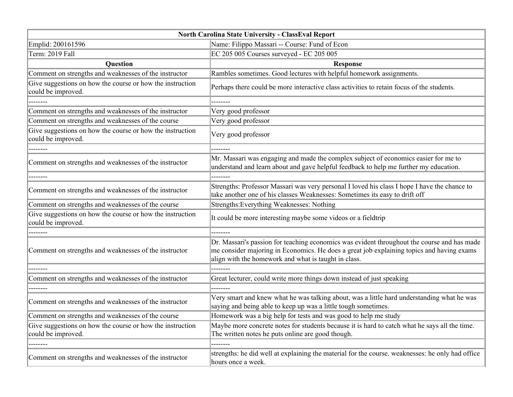| North Carolina State University - ClassEval Report                              |                                                                                                                                                                                                                                                  |
|---------------------------------------------------------------------------------|--------------------------------------------------------------------------------------------------------------------------------------------------------------------------------------------------------------------------------------------------|
| Emplid: 200161596                                                               | Name: Filippo Massari -- Course: Fund of Econ                                                                                                                                                                                                    |
| Term: 2019 Fall                                                                 | EC 205 005 Courses surveyed - EC 205 005                                                                                                                                                                                                         |
| Question                                                                        | <b>Response</b>                                                                                                                                                                                                                                  |
| Comment on strengths and weaknesses of the instructor                           | Rambles sometimes. Good lectures with helpful homework assignments.                                                                                                                                                                              |
| Give suggestions on how the course or how the instruction<br>could be improved. | Perhaps there could be more interactive class activities to retain focus of the students.                                                                                                                                                        |
|                                                                                 |                                                                                                                                                                                                                                                  |
| Comment on strengths and weaknesses of the instructor                           | Very good professor                                                                                                                                                                                                                              |
| Comment on strengths and weaknesses of the course                               | Very good professor                                                                                                                                                                                                                              |
| Give suggestions on how the course or how the instruction<br>could be improved. | Very good professor                                                                                                                                                                                                                              |
|                                                                                 |                                                                                                                                                                                                                                                  |
| Comment on strengths and weaknesses of the instructor                           | Mr. Massari was engaging and made the complex subject of economics easier for me to<br>understand and learn about and gave helpful feedback to help me further my education.                                                                     |
|                                                                                 |                                                                                                                                                                                                                                                  |
| Comment on strengths and weaknesses of the instructor                           | Strengths: Professor Massari was very personal I loved his class I hope I have the chance to<br>take another one of his classes Weaknesses: Sometimes its easy to drift off                                                                      |
| Comment on strengths and weaknesses of the course                               | Strengths: Everything Weaknesses: Nothing                                                                                                                                                                                                        |
| Give suggestions on how the course or how the instruction<br>could be improved. | It could be more interesting maybe some videos or a fieldtrip                                                                                                                                                                                    |
|                                                                                 |                                                                                                                                                                                                                                                  |
| Comment on strengths and weaknesses of the instructor                           | Dr. Massari's passion for teaching economics was evident throughout the course and has made<br>me consider majoring in Economics. He does a great job explaining topics and having exams<br>align with the homework and what is taught in class. |
|                                                                                 | --------                                                                                                                                                                                                                                         |
| Comment on strengths and weaknesses of the instructor                           | Great lecturer, could write more things down instead of just speaking                                                                                                                                                                            |
|                                                                                 |                                                                                                                                                                                                                                                  |
| Comment on strengths and weaknesses of the instructor                           | Very smart and knew what he was talking about, was a little hard understanding what he was<br>saying and being able to keep up was a little tough sometimes.                                                                                     |
| Comment on strengths and weaknesses of the course                               | Homework was a big help for tests and was good to help me study                                                                                                                                                                                  |
| Give suggestions on how the course or how the instruction                       | Maybe more concrete notes for students because it is hard to catch what he says all the time.                                                                                                                                                    |
| could be improved.                                                              | The written notes he puts online are good though.                                                                                                                                                                                                |
|                                                                                 |                                                                                                                                                                                                                                                  |
| Comment on strengths and weaknesses of the instructor                           | strengths: he did well at explaining the material for the course. weaknesses: he only had office<br>hours once a week.                                                                                                                           |